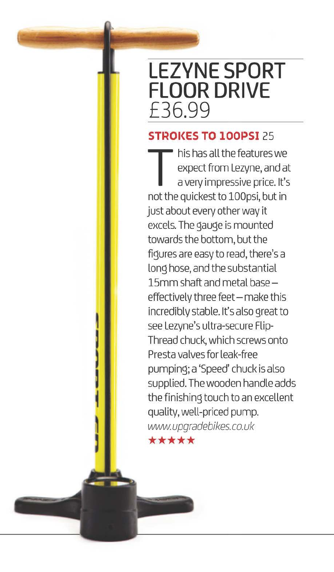## **LEZVNE SPORT FLOOR DRIVE £36.99**

## **STROI<ES TO lOOPS!** 25

This has all the features we<br>expect from Lezyne, and at<br>a very impressive price. It's<br>not the quickest to 100psi but in expect from Lezyne, and at not the quickest to lOOpsi, but **in**  just about every other way it excels. The gauge is mounted towards the bottom, but the figures are easy to read, there's a long hose, and the substantial 15mm shaft and metal baseeffectively three feet - make this incredibly stable. It's also great to see Lezyne's ultra-secure Flip-Thread chuck, which screws onto Presta valves for leak-free pumping; a 'Speed' chuck is also supplied. The wooden handle adds the finishing touch to an excellent quality, well-priced pump. www.upgradebikes.co.uk \*\*\*\*\*